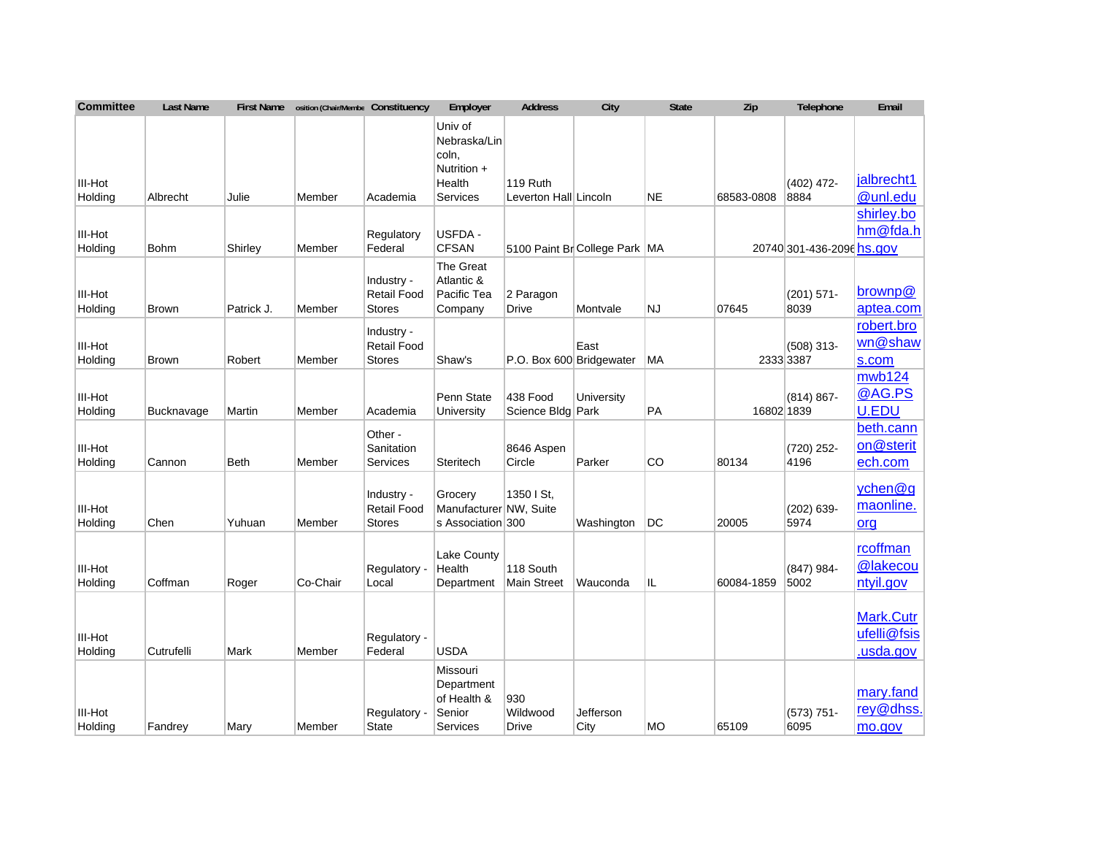| <b>Committee</b>          | <b>Last Name</b>  | <b>First Name</b> | osition (Chair/Membe Constituency |                                                   | Employer                                                    | <b>Address</b>                  | City                            | <b>State</b> | Zip        | Telephone                 | Email                                        |
|---------------------------|-------------------|-------------------|-----------------------------------|---------------------------------------------------|-------------------------------------------------------------|---------------------------------|---------------------------------|--------------|------------|---------------------------|----------------------------------------------|
|                           |                   |                   |                                   |                                                   | Univ of<br>Nebraska/Lin<br>coln,<br>Nutrition +             |                                 |                                 |              |            |                           |                                              |
| III-Hot                   |                   |                   |                                   |                                                   | Health                                                      | 119 Ruth                        |                                 |              |            | $(402)$ 472-              | jalbrecht1                                   |
| Holding                   | Albrecht          | Julie             | Member                            | Academia                                          | Services                                                    | Leverton Hall Lincoln           |                                 | <b>NE</b>    | 68583-0808 | 8884                      | @unl.edu                                     |
|                           |                   |                   |                                   |                                                   |                                                             |                                 |                                 |              |            |                           | shirley.bo                                   |
| III-Hot                   |                   |                   |                                   | Regulatory                                        | USFDA -                                                     |                                 |                                 |              |            |                           | hm@fda.h                                     |
| Holding                   | <b>Bohm</b>       | Shirley           | Member                            | Federal                                           | <b>CFSAN</b>                                                |                                 | 5100 Paint Br College Park   MA |              |            | 20740 301-436-2096 hs.gov |                                              |
| III-Hot<br>Holding        | <b>Brown</b>      | Patrick J.        | Member                            | Industry -<br><b>Retail Food</b><br><b>Stores</b> | The Great<br>Atlantic &<br>Pacific Tea<br>Company           | 2 Paragon<br>Drive              | Montvale                        | <b>NJ</b>    | 07645      | $(201) 571 -$<br>8039     | brownp@<br>aptea.com                         |
|                           |                   |                   |                                   | Industry -                                        |                                                             |                                 |                                 |              |            |                           | robert.bro                                   |
| III-Hot                   |                   |                   |                                   | <b>Retail Food</b>                                |                                                             |                                 | East                            |              |            | $(508)$ 313-              | wn@shaw                                      |
| Holding                   | <b>Brown</b>      | Robert            | Member                            | Stores                                            | Shaw's                                                      | P.O. Box 600 Bridgewater        |                                 | МA           |            | 2333 3387                 | s.com                                        |
| III-Hot<br>Holding        | <b>Bucknavage</b> | Martin            | Member                            | Academia                                          | Penn State<br>University                                    | 438 Food<br>Science Bldg Park   | University                      | PA           | 16802 1839 | $(814) 867 -$             | mwb124<br>@AG.PS<br>U.EDU                    |
| III-Hot<br>Holding        | Cannon            | <b>Beth</b>       | Member                            | Other -<br>Sanitation<br>Services                 | Steritech                                                   | 8646 Aspen<br>Circle            | Parker                          | CO           | 80134      | (720) 252-<br>4196        | beth.cann<br>on@sterit<br>ech.com            |
| III-Hot<br>Holding        | Chen              | Yuhuan            | Member                            | Industry -<br><b>Retail Food</b><br>Stores        | Grocery<br>Manufacturer NW, Suite<br>s Association 300      | 1350 I St.                      | Washington                      | DC           | 20005      | $(202)$ 639-<br>5974      | ychen@g<br>maonline.<br>org                  |
| III-Hot<br>Holding        | Coffman           | Roger             | Co-Chair                          | Regulatory -<br>Local                             | <b>Lake County</b><br>Health<br>Department                  | 118 South<br><b>Main Street</b> | Wauconda                        | IL           | 60084-1859 | (847) 984-<br>5002        | rcoffman<br>@lakecou<br>ntyil.gov            |
| <b>III-Hot</b><br>Holding | Cutrufelli        | Mark              | Member                            | Regulatory -<br>Federal                           | <b>USDA</b>                                                 |                                 |                                 |              |            |                           | <b>Mark.Cutr</b><br>ufelli@fsis<br>usda.gov. |
| III-Hot<br>Holding        | Fandrey           | Mary              | Member                            | Regulatory -<br><b>State</b>                      | Missouri<br>Department<br>of Health &<br>Senior<br>Services | 930<br>Wildwood<br>Drive        | Jefferson<br>City               | <b>MO</b>    | 65109      | $(573) 751 -$<br>6095     | mary.fand<br>rey@dhss.<br>mo.gov             |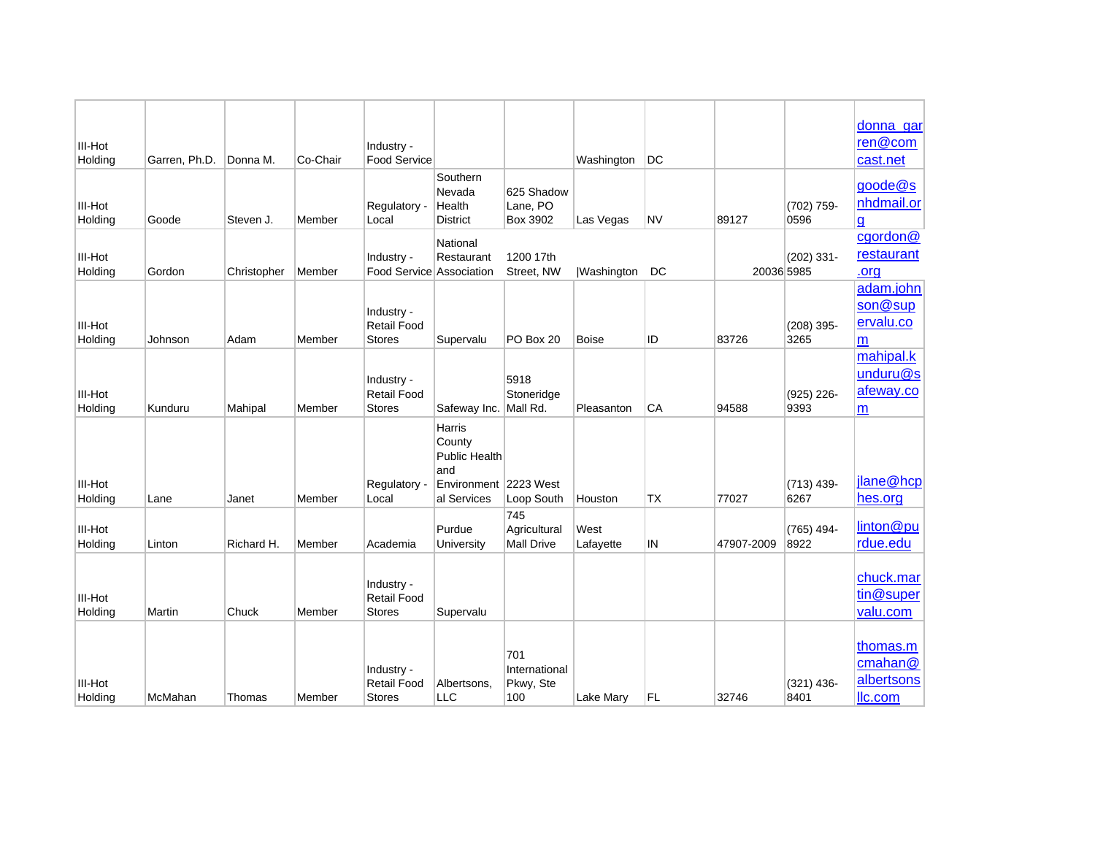| III-Hot            |               |             |          | Industry -                                        |                                                                                   |                                          |                   |           |            |                      | donna_gar<br>ren@com                         |
|--------------------|---------------|-------------|----------|---------------------------------------------------|-----------------------------------------------------------------------------------|------------------------------------------|-------------------|-----------|------------|----------------------|----------------------------------------------|
| Holding            | Garren, Ph.D. | Donna M.    | Co-Chair | <b>Food Service</b>                               |                                                                                   |                                          | Washington        | DC        |            |                      | cast.net                                     |
| III-Hot<br>Holding | Goode         | Steven J.   | Member   | Regulatory -<br>Local                             | Southern<br>Nevada<br>Health<br><b>District</b>                                   | 625 Shadow<br>Lane, PO<br>Box 3902       | Las Vegas         | <b>NV</b> | 89127      | (702) 759-<br>0596   | goode@s<br>nhdmail.or<br>g                   |
|                    |               |             |          |                                                   | National                                                                          |                                          |                   |           |            |                      | cgordon@                                     |
| III-Hot<br>Holding | Gordon        | Christopher | Member   | Industry -<br>Food Service Association            | Restaurant                                                                        | 1200 17th<br>Street, NW                  | <b>Washington</b> | DC        | 20036 5985 | $(202)$ 331-         | restaurant<br>.org                           |
| III-Hot<br>Holding | Johnson       | Adam        | Member   | Industry -<br><b>Retail Food</b><br><b>Stores</b> | Supervalu                                                                         | PO Box 20                                | <b>Boise</b>      | ID        | 83726      | $(208)$ 395-<br>3265 | adam.john<br>son@sup<br>ervalu.co<br>m       |
| III-Hot<br>Holding | Kunduru       | Mahipal     | Member   | Industry -<br><b>Retail Food</b><br><b>Stores</b> | Safeway Inc. Mall Rd.                                                             | 5918<br>Stoneridge                       | Pleasanton        | CA        | 94588      | (925) 226-<br>9393   | mahipal.k<br>unduru@s<br>afeway.co<br>m      |
| III-Hot<br>Holding | Lane          | Janet       | Member   | Regulatory -<br>Local                             | Harris<br>County<br>Public Health<br>land<br>Environment 2223 West<br>al Services | Loop South                               | Houston           | <b>TX</b> | 77027      | $(713)$ 439-<br>6267 | jlane@hcp<br>hes.org                         |
| III-Hot<br>Holding | Linton        | Richard H.  | Member   | Academia                                          | Purdue<br>University                                                              | 745<br>Agricultural<br><b>Mall Drive</b> | West<br>Lafayette | IN        | 47907-2009 | $(765)$ 494-<br>8922 | linton@pu<br>rdue.edu                        |
| III-Hot<br>Holding | Martin        | Chuck       | Member   | Industry -<br><b>Retail Food</b><br><b>Stores</b> | Supervalu                                                                         |                                          |                   |           |            |                      | chuck.mar<br>tin@super<br>valu.com           |
| III-Hot<br>Holding | McMahan       | Thomas      | Member   | Industry -<br>Retail Food<br><b>Stores</b>        | Albertsons.<br><b>LLC</b>                                                         | 701<br>International<br>Pkwy, Ste<br>100 | Lake Mary         | <b>FL</b> | 32746      | $(321)$ 436-<br>8401 | thomas.m<br>cmahan@<br>albertsons<br>Ilc.com |